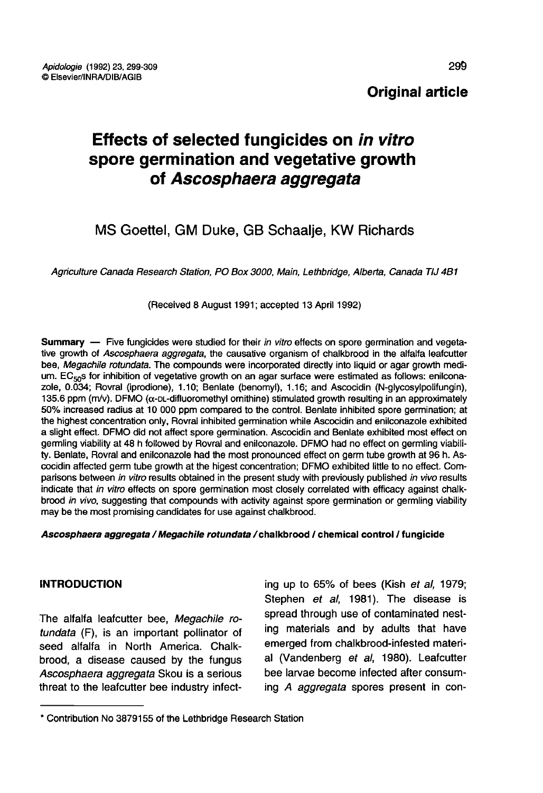# Original article

# Effects of selected fungicides on in vitro spore germination and vegetative growth of Ascosphaera aggregata

# MS Goettel, GM Duke, GB Schaalje, KW Richards

Agriculture Canada Research Station, PO Box 3000, Main, Lethbridge, Alberta, Canada TIJ 4B1

(Received 8 August 1991; accepted 13 April 1992)

Summary — Five fungicides were studied for their in vitro effects on spore germination and vegetative growth of Ascosphaera aggregata, the causative organism of chalkbrood in the alfalfa leafcutter bee, Megachile rotundata. The compounds were incorporated directly into liquid or agar growth medium.  $EC_{50}$ s for inhibition of vegetative growth on an agar surface were estimated as follows: enilcona-<br>zole, 0.034; Rovral (iprodione), 1.10; Benlate (benomyl), 1.16; and Ascocidin (N-glycosylpolifungin), 135.6 ppm (m/v). DFMO (α-pL-difluoromethyl omithine) stimulated growth resulting in an approximately 50% increased radius at 10 000 ppm compared to the control. Benlate inhibited spore germination; at the highest concentration only, Rovral inhibited germination while Ascocidin and enilconazole exhibited a slight effect. DFMO did not affect spore germination. Ascocidin and Benlate exhibited most effect on germling viability at 48 h followed by Rovral and enilconazole. DFMO had no effect on germling viability. Benlate, Rovral and enilconazole had the most pronounced effect on germ tube growth at 96 h. Ascocidin affected germ tube growth at the higest concentration; DFMO exhibited little to no effect. Comparisons between in vitro results obtained in the present study with previously published in vivo results indicate that in vitro effects on spore germination most closely correlated with efficacy against chalkbrood in vivo, suggesting that compounds with activity against spore germination or germling viability may be the most promising candidates for use against chalkbrood.

#### Ascosphaera aggregata / Megachile rotundata / chalkbrood / chemical control / fungicide

# **INTRODUCTION**

The alfalfa leafcutter bee, Megachile rotundata (F), is an important pollinator of seed alfalfa in North America. Chalkbrood, a disease caused by the fungus Ascosphaera aggregata Skou is a serious threat to the leafcutter bee industry infect-

ing up to 65% of bees (Kish et al, 1979; Stephen et al, 1981). The disease is spread through use of contaminated nesting materials and by adults that have emerged from chalkbrood-infested material (Vandenberg et al, 1980). Leafcutter bee larvae become infected after consuming A aggregata spores present in con-

<sup>\*</sup> Contribution No 3879155 of the Lethbridge Research Station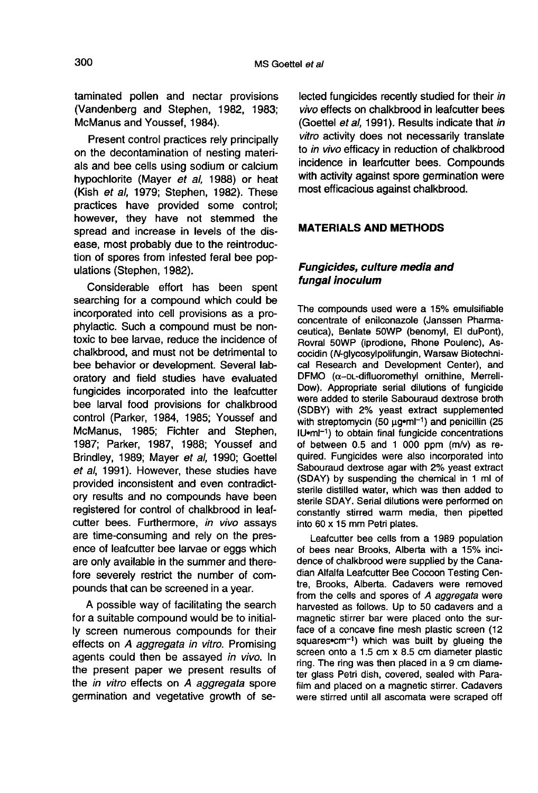taminated pollen and nectar provisions (Vandenberg and Stephen, 1982, 1983; McManus and Youssef, 1984).

Present control practices rely principally on the decontamination of nesting materials and bee cells using sodium or calcium hypochlorite (Mayer et al, 1988) or heat (Kish et al, 1979; Stephen, 1982). These practices have provided some control; however, they have not stemmed the spread and increase in levels of the disease, most probably due to the reintroduction of spores from infested feral bee populations (Stephen, 1982).

Considerable effort has been spent searching for a compound which could be incorporated into cell provisions as a prophylactic. Such a compound must be nontoxic to bee larvae, reduce the incidence of chalkbrood, and must not be detrimental to bee behavior or development. Several laboratory and field studies have evaluated fungicides incorporated into the leafcutter bee larval food provisions for chalkbrood control (Parker, 1984, 1985; Youssef and McManus, 1985; Fichter and Stephen, 1987; Parker, 1987, 1988; Youssef and Brindley, 1989; Mayer et al, 1990; Goettel et al, 1991). However, these studies have provided inconsistent and even contradictory results and no compounds have been registered for control of chalkbrood in leafcutter bees. Furthermore, in vivo assays are time-consuming and rely on the presence of leafcutter bee larvae or eggs which are only available in the summer and therefore severely restrict the number of compounds that can be screened in a year.

A possible way of facilitating the search for a suitable compound would be to initially screen numerous compounds for their effects on A aggregata in vitro. Promising agents could then be assayed in vivo. In the present paper we present results of the *in vitro* effects on A aggregata spore germination and vegetative growth of se-

lected fungicides recently studied for their in vivo effects on chalkbrood in leafcutter bees (Goettel et al, 1991). Results indicate that in vitro activity does not necessarily translate to in vivo efficacy in reduction of chalkbrood incidence in learfcutter bees. Compounds with activity against spore germination were most efficacious against chalkbrood.

## MATERIALS AND METHODS

# Fungicides, culture media and fungal inoculum

The compounds used were a 15% emulsifiable concentrate of enilconazole (Janssen Pharmaceutica), Benlate 50WP (benomyl, El duPont), Rovral 50WP (iprodione, Rhone Poulenc), Ascocidin (N-glycosylpolifungin, Warsaw Biotechnical Research and Development Center), and DFMO (α-DL-difluoromethyl ornithine, Merrell-Dow). Appropriate serial dilutions of fungicide were added to sterile Sabouraud dextrose broth (SDBY) with 2% yeast extract supplemented with streptomycin (50 μg•ml<sup>-1</sup>) and penicillin (25 IU•ml<sup>-1</sup>) to obtain final fungi were added to sterile Sabouraud dextrose broth (SDBY) with 2% yeast extract supplemented with streptomycin  $(50 \ \mu \text{g} \cdot \text{m})^{-1}$  and penicillin (25)  $IU$  $eml<sup>-1</sup>$ ) to obtain final fungicide concentrations of between 0.5 and 1 000 ppm (m/v) as required. Fungicides were also incorporated into Sabouraud dextrose agar with 2% yeast extract (SDAY) by suspending the chemical in 1 ml of sterile distilled water, which was then added to sterile SDAY. Serial dilutions were performed on constantly stirred warm media, then pipetted into 60 x 15 mm Petri plates.

Leafcutter bee cells from a 1989 population of bees near Brooks, Alberta with a 15% incidence of chalkbrood were supplied by the Canadian Alfalfa Leafcutter Bee Cocoon Testing Centre, Brooks, Alberta. Cadavers were removed from the cells and spores of A aggregata were harvested as follows. Up to 50 cadavers and a magnetic stirrer bar were placed onto the surface of a concave fine mesh plastic screen  $(12 \text{ squares} \cdot \text{cm}^{-1})$  which was built by glueing the dian Alfalfa Leafcutter Bee Cocoon Testing Centre, Brooks, Alberta. Cadavers were removed<br>from the cells and spores of A aggregata were<br>harvested as follows. Up to 50 cadavers and a<br>magnetic stirrer bar were placed onto th screen onto a 1.5 cm x 8.5 cm diameter plastic ring. The ring was then placed in a 9 cm diameter glass Petri dish, covered, sealed with Parafilm and placed on a magnetic stirrer. Cadavers were stirred until all ascomata were scraped off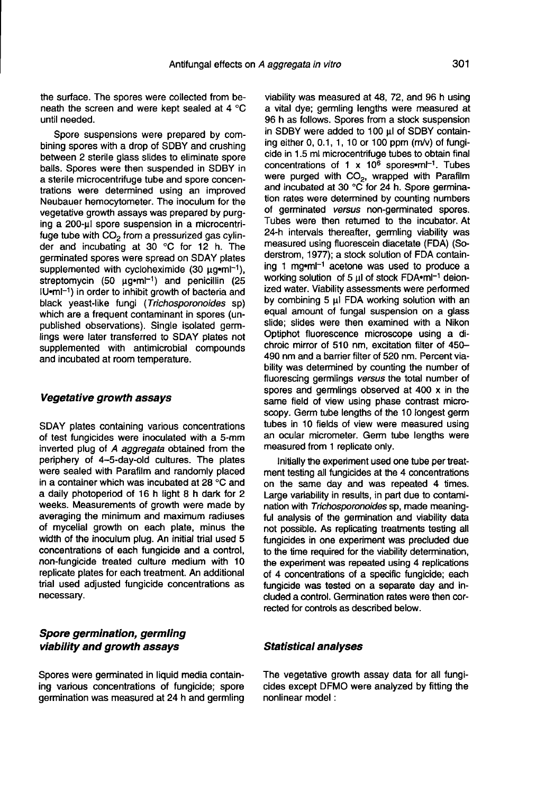the surface. The spores were collected from beneath the screen and were kept sealed at 4 °C until needed.

Spore suspensions were prepared by combining spores with a drop of SDBY and crushing between 2 sterile glass slides to eliminate spore balls. Spores were then suspended in SDBY in a sterile microcentrifuge tube and spore concentrations were determined using an improved Neubauer hemocytometer. The inoculum for the vegetative growth assays was prepared by purging a 200-μl spore suspension in a microcentrifuge tube with  $CO<sub>2</sub>$  from a pressurized gas cylinder and incubating at 30 °C for 12 h. The germinated spores were spread on SDAY plates supplemented with cycloheximide (30  $\mu$ g•ml<sup>-1</sup>), streptomycin (50  $\mu$ g•ml<sup>-1</sup>) and penicillin (25 der and incubating at 30 °C for 12 h. The<br>germinated spores were spread on SDAY plates<br>supplemented with cycloheximide (30 μg•ml<sup>-1</sup>),<br>streptomycin (50 μg•ml<sup>-1</sup>) and penicillin (25<br>IU•ml<sup>-1</sup>) in order to inhibit growth o germinated spores were spread on SDAY plates<br>supplemented with cycloheximide (30 µg•ml<sup>-1</sup>),<br>streptomycin (50 µg•ml<sup>-1</sup>) and penicillin (25<br>IU•ml<sup>-1</sup>) in order to inhibit growth of bacteria and<br>black yeast-like fungi (*Tri* black yeast-like fungi (Trichosporonoides sp) which are a frequent contaminant in spores (unpublished observations). Single isolated germlings were later transferred to SDAY plates not supplemented with antimicrobial compounds and incubated at room temperature.

#### Vegetative growth assays

SDAY plates containing various concentrations of test fungicides were inoculated with a 5-mm inverted plug of A aggregata obtained from the periphery of 4-5-day-old cultures. The plates were sealed with Parafilm and randomly placed in a container which was incubated at 28 °C and a daily photoperiod of 16 h light 8 h dark for 2 weeks. Measurements of growth were made by averaging the minimum and maximum radiuses of mycelial growth on each plate, minus the width of the inoculum plug. An initial trial used 5 concentrations of each fungicide and a control, non-fungicide treated culture medium with 10 replicate plates for each treatment. An additional trial used adjusted fungicide concentrations as necessary.

#### Spore germination, germling viability and growth assays

Spores were germinated in liquid media containing various concentrations of fungicide; spore germination was measured at 24 h and germling

viability was measured at 48, 72, and 96 h using a vital dye; germling lengths were measured at 96 h as follows. Spores from a stock suspension in SDBY were added to 100 μl of SDBY containing either 0, 0.1, 1, 10 or 100 ppm (m/v) of fungicide in 1.5 ml microcentrifuge tubes to obtain final a vital dye; germling lengths were measured at<br>96 h as follows. Spores from a stock suspension<br>in SDBY were added to 100 µl of SDBY contain-<br>ing either 0, 0.1, 1, 10 or 100 ppm (m/v) of fungi-<br>cide in 1.5 ml microcentrifu concentrations of 1 x 10<sup> $\overline{6}$ </sup> spores•m $\overline{1}^1$ . Tubes were purged with CO<sub>2</sub>, wrapped with Parafilm and incubated at 30 °C for 24 h. Spore germination rates were determined by counting numbers of germinated versus non-germinated spores. Tubes were then returned to the incubator. At 24-h intervals thereafter, germling viability was measured using fluorescein diacetate (FDA) (Soderstrom, 1977); a stock solution of FDA containderstrom, 1977); a stock solution of FDA contain-<br>ing 1 mg•ml<sup>-1</sup> acetone was used to produce a<br>working solution of 5 μl of stock FDA•ml<sup>-1</sup> deionized water. Viability assessments were performed by combining 5 μl FDA working solution with an equal amount of fungal suspension on a glass slide; slides were then examined with a Nikon Optiphot fluorescence microscope using a dichroic mirror of 510 nm, excitation filter of 450- 490 nm and a barrier filter of 520 nm. Percent viability was determined by counting the number of fluorescing germlings versus the total number of spores and germlings observed at 400 x in the same field of view using phase contrast microscopy. Germ tube lengths of the 10 longest germ tubes in 10 fields of view were measured using an ocular micrometer. Germ tube lengths were measured from 1 replicate only.

Initially the experiment used one tube per treatment testing all fungicides at the 4 concentrations on the same day and was repeated 4 times. Large variability in results, in part due to contamination with Trichosporonoides sp, made meaningful analysis of the germination and viability data not possible. As replicating treatments testing all fungicides in one experiment was precluded due to the time required for the viability determination, the experiment was repeated using 4 replications of 4 concentrations of a specific fungicide; each fungicide was tested on a separate day and included a control. Germination rates were then corrected for controls as described below.

#### Statistical analyses

The vegetative growth assay data for all fungicides except DFMO were analyzed by fitting the nonlinear model :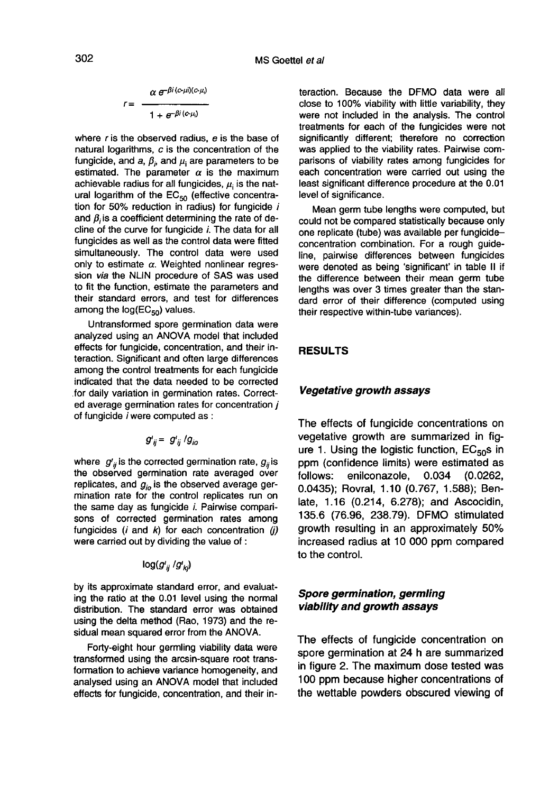$$
r = \frac{\alpha e^{-\beta i (c - \mu i)(c - \mu_i)}}{1 + e^{-\beta i (c - \mu_i)}}
$$

where r is the observed radius, e is the base of natural logarithms, c is the concentration of the fungicide, and a,  $\beta_i$ , and  $\mu_i$  are parameters to be estimated. The parameter  $\alpha$  is the maximum achievable radius for all fungicides,  $\mu_i$  is the natural logarithm of the  $EC_{50}$  (effective concentration for 50% reduction in radius) for fungicide  $i$ and  $\beta_i$  is a coefficient determining the rate of decline of the curve for fungicide i. The data for all fungicides as well as the control data were fitted simultaneously. The control data were used only to estimate  $\alpha$ . Weighted nonlinear regression via the NLIN procedure of SAS was used to fit the function, estimate the parameters and their standard errors, and test for differences bony to estimate  $\alpha$ . weighted<br>sion *via* the NLIN procedure<br>to fit the function, estimate the<br>their standard errors, and te<br>among the log(EC<sub>50</sub>) values.<br>Untransformed spore germ

Untransformed spore germination data were analyzed using an ANOVA model that included effects for fungicide, concentration, and their interaction. Significant and often large differences among the control treatments for each fungicide indicated that the data needed to be corrected for daily variation in germination rates. Corrected average germination rates for concentration j of fungicide i were computed as :

$$
g'_{ij} = g'_{ij}/g_{io}
$$

where  $g'_{ii}$  is the corrected germination rate,  $g_{ii}$  is the observed germination rate averaged over replicates, and  $g_{io}$  is the observed average germination rate for the control replicates run on the same day as fungicide i. Pairwise compari sons of corrected germination rates among fungicides  $(i \text{ and } k)$  for each concentration  $(i)$ were carried out by dividing the value of :

$$
\log (g'_{ij} \, / g'_{kj})
$$

by its approximate standard error, and evaluating the ratio at the 0.01 level using the normal distribution. The standard error was obtained using the delta method (Rao, 1973) and the residual mean squared error from the ANOVA.

Forty-eight hour germling viability data were transformed using the arcsin-square root transformation to achieve variance homogeneity, and analysed using an ANOVA model that included effects for fungicide, concentration, and their interaction. Because the DFMO data were all close to 100% viability with little variability, they were not included in the analysis. The control treatments for each of the fungicides were not significantly different; therefore no correction was applied to the viability rates. Pairwise comparisons of viability rates among fungicides for each concentration were carried out using the least significant difference procedure at the 0.01 level of significance.

Mean germ tube lengths were computed, but could not be compared statistically because only one replicate (tube) was available per fungicideconcentration combination. For a rough guideline, pairwise differences between fungicides were denoted as being 'significant' in table II if the difference between their mean germ tube lengths was over 3 times greater than the standard error of their difference (computed using their respective within-tube variances).

#### RESULTS

#### Vegetative growth assays

The effects of fungicide concentrations on vegetative growth are summarized in fig-<br>ure 1. Using the logistic function, EC<sub>50</sub>s in ppm (confidence limits) were estimated as follows: enilconazole, 0.034 (0.0262, 0.0435); Rovral, 1.10 (0.767, 1.588); Benlate, 1.16 (0.214, 6.278); and Ascocidin, 135.6 (76.96, 238.79). DFMO stimulated growth resulting in an approximately 50% increased radius at 10 000 ppm compared to the control.

# Spore germination, germling viability and growth assays

The effects of fungicide concentration on spore germination at 24 h are summarized in figure 2. The maximum dose tested was 100 ppm because higher concentrations of the wettable powders obscured viewing of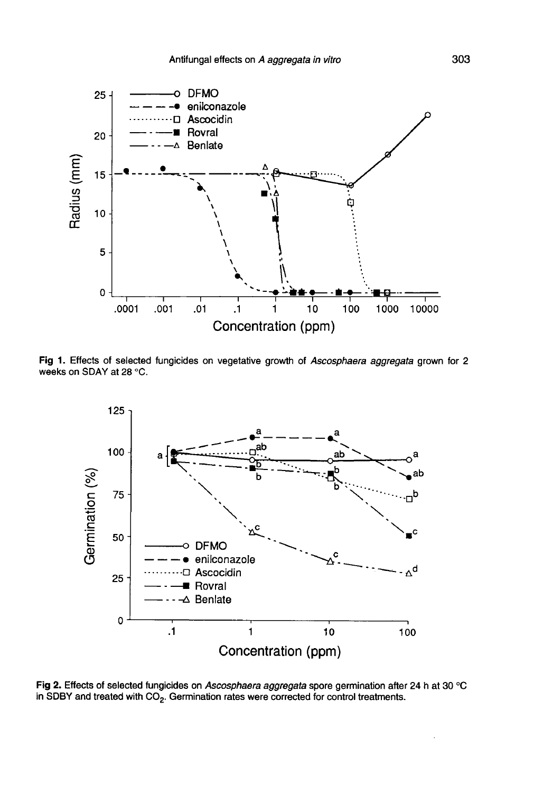

Fig 1. Effects of selected fungicides on vegetative growth of Ascosphaera aggregata grown for 2 weeks on SDAY at 28 °C.



Fig 2. Effects of selected fungicides on Ascosphaera aggregata spore germination after 24 h at 30 °C in SDBY and treated with CO<sub>2</sub>. Germination rates were corrected for control treatments.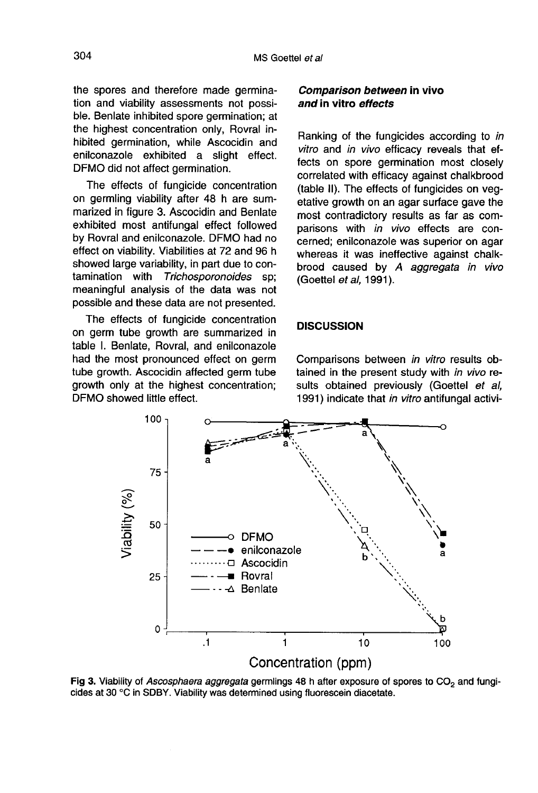the spores and therefore made germination and viability assessments not possible. Benlate inhibited spore germination; at the highest concentration only, Rovral inhibited germination, while Ascocidin and enilconazole exhibited a slight effect. DFMO did not affect germination.

The effects of fungicide concentration on germling viability after 48 h are summarized in figure 3. Ascocidin and Benlate exhibited most antifungal effect followed by Rovral and enilconazole. DFMO had no effect on viability. Viabilities at 72 and 96 h showed large variability, in part due to con-<br>tamination with Trichosporonoides sp; Trichosporonoides sp; meaningful analysis of the data was not possible and these data are not presented.

The effects of fungicide concentration on germ tube growth are summarized in table I. Benlate, Rovral, and enilconazole had the most pronounced effect on germ tube growth. Ascocidin affected germ tube growth only at the highest concentration; DFMO showed little effect.

# Comparison between in vivo and in vitro effects

Ranking of the fungicides according to in vitro and in vivo efficacy reveals that effects on spore germination most closely correlated with efficacy against chalkbrood (table II). The effects of fungicides on vegetative growth on an agar surface gave the most contradictory results as far as comparisons with in vivo effects are concerned; enilconazole was superior on agar whereas it was ineffective against chalkbrood caused by A aggregata in vivo (Goettel et al, 1991).

## **DISCUSSION**

Comparisons between in vitro results obtained in the present study with in vivo results obtained previously (Goettel et al, 1991) indicate that in vitro antifungal activi-



Fig 3. Viability of Ascosphaera aggregata germlings 48 h after exposure of spores to CO<sub>2</sub> and fungicides at 30 °C in SDBY. Viability was determined using fluorescein diacetate.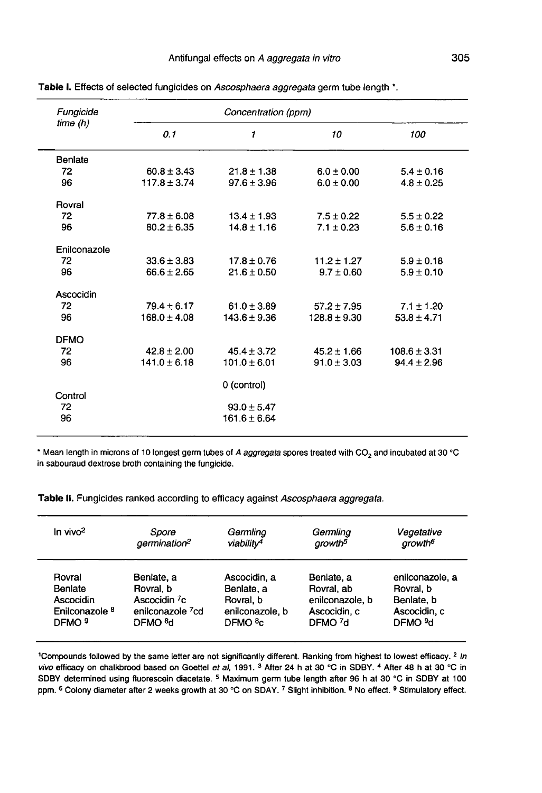| Fungicide<br>time (h) | Concentration (ppm) |                  |                  |                  |  |
|-----------------------|---------------------|------------------|------------------|------------------|--|
|                       | 0.1                 | 1                | 10               | 100              |  |
| Benlate               |                     |                  |                  |                  |  |
| 72                    | $60.8 \pm 3.43$     | $21.8 \pm 1.38$  | $6.0 \pm 0.00$   | $5.4 \pm 0.16$   |  |
| 96                    | $117.8 \pm 3.74$    | $97.6 \pm 3.96$  | $6.0 \pm 0.00$   | $4.8 \pm 0.25$   |  |
| Rovral                |                     |                  |                  |                  |  |
| 72                    | $77.8 \pm 6.08$     | $13.4 \pm 1.93$  | $7.5 \pm 0.22$   | $5.5 \pm 0.22$   |  |
| 96                    | $80.2 \pm 6.35$     | $14.8 \pm 1.16$  | $7.1 \pm 0.23$   | $5.6 \pm 0.16$   |  |
| Enilconazole          |                     |                  |                  |                  |  |
| 72                    | $33.6 \pm 3.83$     | $17.8 + 0.76$    | $11.2 \pm 1.27$  | $5.9 \pm 0.18$   |  |
| 96                    | $66.6 \pm 2.65$     | $21.6 \pm 0.50$  | $9.7 \pm 0.60$   | $5.9 \pm 0.10$   |  |
| Ascocidin             |                     |                  |                  |                  |  |
| 72                    | $79.4 \pm 6.17$     | $61.0 \pm 3.89$  | $57.2 \pm 7.95$  | $7.1 \pm 1.20$   |  |
| 96                    | $168.0 \pm 4.08$    | $143.6 \pm 9.36$ | $128.8 \pm 9.30$ | $53.8 \pm 4.71$  |  |
| <b>DFMO</b>           |                     |                  |                  |                  |  |
| 72                    | $42.8 \pm 2.00$     | $45.4 \pm 3.72$  | $45.2 \pm 1.66$  | $108.6 \pm 3.31$ |  |
| 96                    | $141.0 \pm 6.18$    | $101.0 \pm 6.01$ | $91.0 \pm 3.03$  | $94.4 \pm 2.96$  |  |
|                       |                     | 0 (control)      |                  |                  |  |
| Control               |                     |                  |                  |                  |  |
| 72                    |                     | $93.0 \pm 5.47$  |                  |                  |  |
| 96                    |                     | $161.6 \pm 6.64$ |                  |                  |  |

Table I. Effects of selected fungicides on Ascosphaera aggregata germ tube length \*.

\* Mean length in microns of 10 longest germ tubes of A aggregata spores treated with CO<sub>2</sub> and incubated at 30 °C in sabouraud dextrose broth containing the fungicide.

Table II. Fungicides ranked according to efficacy against Ascosphaera aggregata.

| In vivo <sup>2</sup>      | Spore                        | Germlina               | Germlina            | Vegetative          |
|---------------------------|------------------------------|------------------------|---------------------|---------------------|
|                           | germination <sup>2</sup>     | viability <sup>4</sup> | growth <sup>5</sup> | growth <sup>6</sup> |
| Rovral                    | Benlate, a                   | Ascocidin, a           | Benlate, a          | enilconazole, a     |
| Benlate                   | Rovral, b                    | Benlate, a             | Rovral, ab          | Rovral, b           |
| Ascocidin                 | Ascocidin <sup>7</sup> c     | Rovral, b              | enilconazole, b     | Benlate, b          |
| Enilconazole <sup>8</sup> | enilconazole <sup>7</sup> cd | enilconazole, b        | Ascocidin, c        | Ascocidin, c        |
| DFMO <sup>9</sup>         | DFMO <sub>8d</sub>           | DFMO <sup>8</sup> c    | DFMO <sub>7</sub> d | DFMO <sub>9d</sub>  |

<sup>1</sup>Compounds followed by the same letter are not significantly different. Ranking from highest to lowest efficacy. <sup>2</sup> In vivo efficacy on chalkbrood based on Goettel et al, 1991. <sup>3</sup> After 24 h at 30 °C in SDBY. <sup>4</sup> After 48 h at 30 °C in SDBY determined using fluorescein diacetate. <sup>5</sup> Maximum germ tube length after 96 h at 30 °C in SDBY at 100 ppm. <sup>6</sup> Colony diameter after 2 weeks growth at 30 °C on SDAY. 7 Slight inhibition. <sup>8</sup> No effect. <sup>9</sup> Stimulatory effect.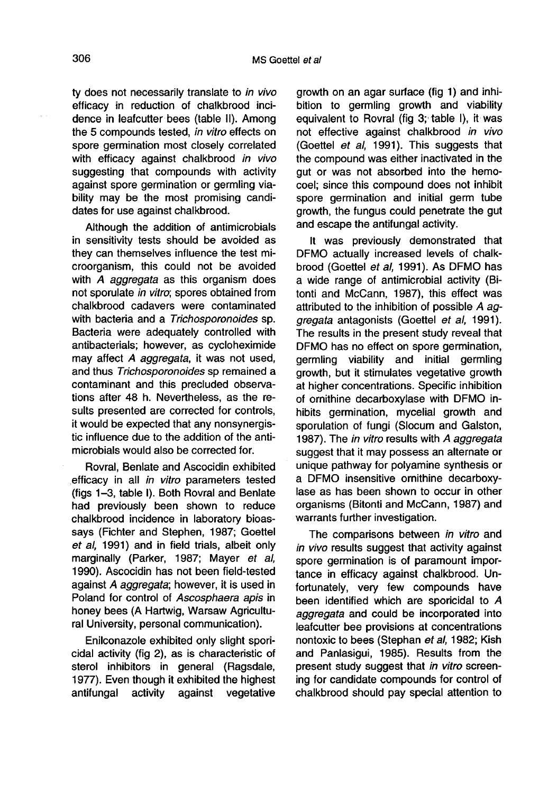ty does not necessarily translate to in vivo efficacy in reduction of chalkbrood incidence in leafcutter bees (table II). Among the 5 compounds tested, in vitro effects on spore germination most closely correlated with efficacy against chalkbrood in vivo suggesting that compounds with activity against spore germination or germling viability may be the most promising candidates for use against chalkbrood.

Although the addition of antimicrobials in sensitivity tests should be avoided as they can themselves influence the test microorganism, this could not be avoided with A *aggregata* as this organism does not sporulate in vitro; spores obtained from chalkbrood cadavers were contaminated with bacteria and a Trichosporonoides sp. Bacteria were adequately controlled with antibacterials; however, as cycloheximide may affect A aggregata, it was not used, and thus Trichosporonoides sp remained a contaminant and this precluded observations after 48 h. Nevertheless, as the results presented are corrected for controls, it would be expected that any nonsynergistic influence due to the addition of the antimicrobials would also be corrected for.

Rovral, Benlate and Ascocidin exhibited efficacy in all in vitro parameters tested (figs 1-3, table I). Both Rovral and Benlate had previously been shown to reduce chalkbrood incidence in laboratory bioassays (Fichter and Stephen, 1987; Goettel et al, 1991) and in field trials, albeit only marginally (Parker, 1987; Mayer et al, 1990). Ascocidin has not been field-tested against A aggregata; however, it is used in Poland for control of Ascosphaera apis in honey bees (A Hartwig, Warsaw Agricultural University, personal communication).

Enilconazole exhibited only slight sporicidal activity (fig 2), as is characteristic of sterol inhibitors in general (Ragsdale, 1977). Even though it exhibited the highest<br>antifungal activity against vegetative antifungal

growth on an agar surface (fig 1) and inhibition to germling growth and viability equivalent to Rovral (fig 3; table I), it was not effective against chalkbrood in vivo (Goettel et al, 1991). This suggests that the compound was either inactivated in the gut or was not absorbed into the hemocoel; since this compound does not inhibit spore germination and initial germ tube growth, the fungus could penetrate the gut and escape the antifungal activity.

It was previously demonstrated that DFMO actually increased levels of chalkbrood (Goettel et al, 1991). As DFMO has a wide range of antimicrobial activity (Bitonti and McCann, 1987), this effect was attributed to the inhibition of possible A aggregata antagonists (Goettel et al, 1991). The results in the present study reveal that DFMO has no effect on spore germination, germling viability and initial germling growth, but it stimulates vegetative growth at higher concentrations. Specific inhibition of ornithine decarboxylase with DFMO inhibits germination, mycelial growth and sporulation of fungi (Slocum and Galston, 1987). The in vitro results with A aggregata suggest that it may possess an alternate or unique pathway for polyamine synthesis or a DFMO insensitive ornithine decarboxylase as has been shown to occur in other organisms (Bitonti and McCann, 1987) and warrants further investigation.

The comparisons between in vitro and in vivo results suggest that activity against spore germination is of paramount importance in efficacy against chalkbrood. Unfortunately, very few compounds have been identified which are sporicidal to A aggregata and could be incorporated into leafcutter bee provisions at concentrations nontoxic to bees (Stephan et al, 1982; Kish and Panlasigui, 1985). Results from the present study suggest that in vitro screening for candidate compounds for control of chalkbrood should pay special attention to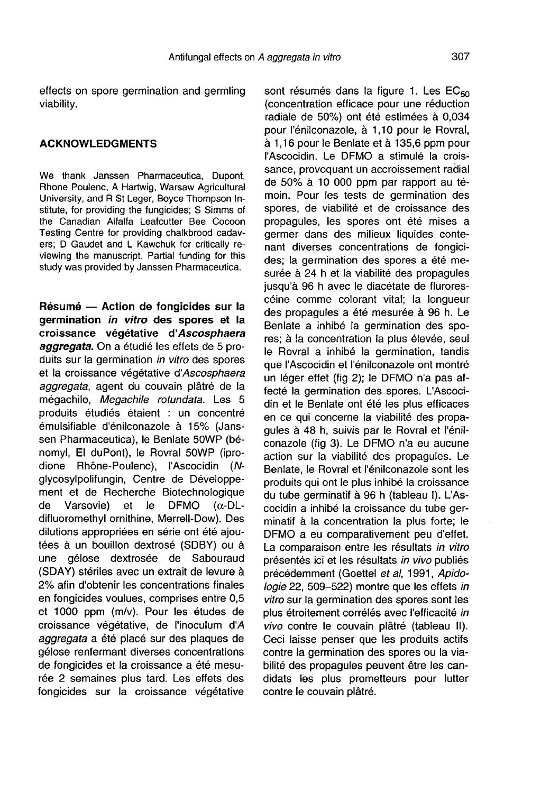#### ACKNOWLEDGMENTS

We thank Janssen Pharmaceutica, Dupont, Rhone Poulenc, A Hartwig, Warsaw Agricultural University, and R St Leger, Boyce Thompson Institute, for providing the fungicides; S Simms of the Canadian Alfalfa Leafcutter Bee Cocoon Testing Centre for providing chalkbrood cadavers; D Gaudet and L Kawchuk for critically reviewing the manuscript. Partial funding for this study was provided by Janssen Pharmaceutica.

Résumé — Action de fongicides sur la germination in vitro des spores et la croissance végétative d'Ascosphaera aggregata. On a étudié les effets de 5 produits sur la germination in vitro des spores et la croissance végétative d'Ascosphaera aggregata, agent du couvain plâtré de la mégachile, Megachile rotundata. Les 5 produits étudiés étaient : un concentré émulsifiable d'énilconazole à 15% (Jans sen Pharmaceutica), le Benlate 50WP (bénomyl, El duPont), le Rovral 50WP (iprodione Rhône-Poulenc), l'Ascocidin (Nglycosylpolifungin, Centre de Développement et de Recherche Biotechnologique<br>de Varsovie) et le DFMO  $(\alpha$ -DL-Varsovie) difluoromethyl ornithine, Merrell-Dow). Des dilutions appropriées en série ont été ajoutées à un bouillon dextrosé (SDBY) ou à une gélose dextrosée de Sabouraud (SDAY) stériles avec un extrait de levure à 2% afin d'obtenir les concentrations finales en fongicides voulues, comprises entre 0,5 et 1000 ppm (m/v). Pour les études de croissance végétative, de l'inoculum d'A aggregata a été placé sur des plaques de gélose renfermant diverses concentrations de fongicides et la croissance a été mesurée 2 semaines plus tard. Les effets des fongicides sur la croissance végétative

sont résumés dans la figure 1. Les EC<sub>50</sub> (concentration efficace pour une réduction radiale de 50%) ont été estimées à 0,034 pour l'énilconazole, à 1,10 pour le Rovral, à 1,16 pour le Benlate et à 135,6 ppm pour l'Ascocidin. Le DFMO a stimulé la croissance, provoquant un accroissement radial de 50% à 10 000 ppm par rapport au témoin. Pour les tests de germination des spores, de viabilité et de croissance des propagules, les spores ont été mises a germer dans des milieux liquides contenant diverses concentrations de fongicides; la germination des spores a été mesurée à 24 h et la viabilité des propagules jusqu'à 96 h avec le diacétate de flurorescéine comme colorant vital; la longueur des propagules a été mesurée à 96 h. Le Benlate a inhibé la germination des spores; à la concentration la plus élevée, seul le Rovral a inhibé la germination, tandis que l'Ascocidin et l'énilconazole ont montré un léger effet (fig 2); le DFMO n'a pas affecté la germination des spores. L'Ascocidin et le Benlate ont été les plus efficaces en ce qui concerne la viabilité des propagules à 48 h, suivis par le Rovral et l'énilconazole (fig 3). Le DFMO n'a eu aucune action sur la viabilité des propagules. Le Benlate, le Rovral et l'énilconazole sont les produits qui ont le plus inhibé la croissance du tube germinatif à 96 h (tableau I). L'Ascocidin a inhibé la croissance du tube germinatif à la concentration la plus forte; le DFMO a eu comparativement peu d'effet. La comparaison entre les résultats in vitro présentés ici et les résultats in vivo publiés précédemment (Goettel et al, 1991, Apidologie 22, 509-522) montre que les effets in vitro sur la germination des spores sont les plus étroitement corrélés avec l'efficacité in vivo contre le couvain plâtré (tableau II). Ceci laisse penser que les produits actifs contre la germination des spores ou la viabilité des propagules peuvent être les candidats les plus prometteurs pour lutter contre le couvain plâtré.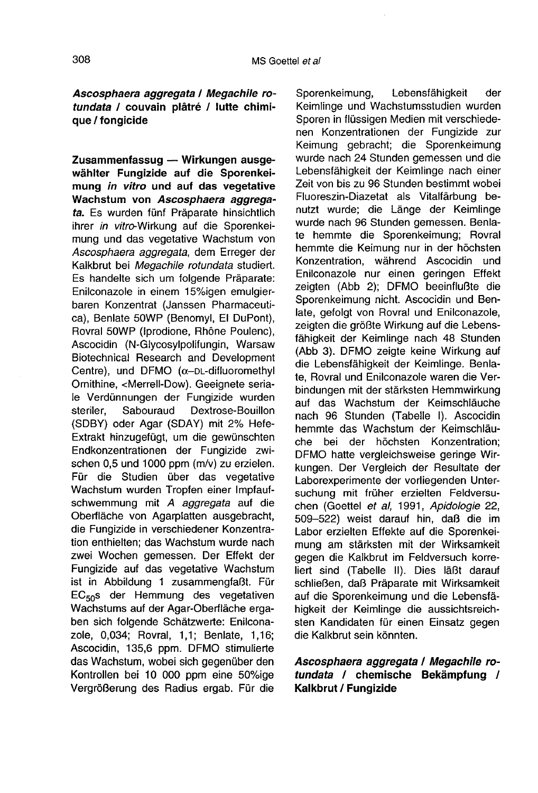# Ascosphaera aggregata / Megachile rotundata / couvain plâtré / lutte chimique / fongicide

Zusammenfassug — Wirkungen ausgewählter Fungizide auf die Sporenkeimung in vitro und auf das vegetative Wachstum von Ascosphaera aggregata. Es wurden fünf Präparate hinsichtlich ihrer in vitro-Wirkung auf die Sporenkeimung und das vegetative Wachstum von Ascosphaera aggregata, dem Erreger der Kalkbrut bei Megachile rotundata studiert. Es handelte sich um folgende Präparate: Enilconazole in einem 15%igen emulgierbaren Konzentrat (Janssen Pharmaceutica), Benlate 50WP (Benomyl, El DuPont), Rovral 50WP (Iprodione, Rhöne Poulenc), Ascocidin (N-Glycosylpolifungin, Warsaw Biotechnical Research and Development Centre), und DFMO (α-DL-difluoromethyl Ornithine, <Merrell-Dow). Geeignete seriale Verdünnungen der Fungizide wurden<br>steriler. Sabouraud Dextrose-Bouillon Dextrose-Bouillon (SDBY) oder Agar (SDAY) mit 2% Hefe-Extrakt hinzugefügt, um die gewünschten Endkonzentrationen der Fungizide zwischen 0,5 und 1000 ppm (m/v) zu erzielen. Für die Studien über das vegetative Wachstum wurden Tropfen einer Impfaufschwemmung mit A aggregata auf die Oberfläche von Agarplatten ausgebracht, die Fungizide in verschiedener Konzentration enthielten; das Wachstum wurde nach zwei Wochen gemessen. Der Effekt der Fungizide auf das vegetative Wachstum ist in Abbildung 1 zusammengfaßt. Für Fungizide auf das vegetative Wachstum<br>ist in Abbildung 1 zusammengfaßt. Für<br>EC<sub>50</sub>s der Hemmung des vegetativen<br>Wachstums auf der Agar-Oberfläche erga-Wachstums auf der Agar-Oberfläche ergaben sich folgende Schätzwerte: Enilconazole, 0,034; Rovral, 1,1; Benlate, 1,16; Ascocidin, 135,6 ppm. DFMO stimulierte das Wachstum, wobei sich gegenüber den Kontrollen bei 10 000 ppm eine 50%ige Vergrößerung des Radius ergab. Für die

Sporenkeimung, Lebensfähigkeit der Keimlinge und Wachstumsstudien wurden Sporen in flüssigen Medien mit verschiedenen Konzentrationen der Fungizide zur Keimung gebracht; die Sporenkeimung wurde nach 24 Stunden gemessen und die Lebensfähigkeit der Keimlinge nach einer Zeit von bis zu 96 Stunden bestimmt wobei Fluoreszin-Diazetat als Vitalfärbung benutzt wurde; die Länge der Keimlinge wurde nach 96 Stunden gemessen. Benlate hemmte die Sporenkeimung; Rovral hemmte die Keimung nur in der höchsten Konzentration, während Ascocidin und Enilconazole nur einen geringen Effekt zeigten (Abb 2); DFMO beeinflußte die Sporenkeimung nicht. Ascocidin und Benlate, gefolgt von Rovral und Enilconazole, zeigten die größte Wirkung auf die Lebensfähigkeit der Keimlinge nach 48 Stunden (Abb 3). DFMO zeigte keine Wirkung auf die Lebensfähigkeit der Keimlinge. Benlate, Rovral und Enilconazole waren die Verbindungen mit der stärksten Hemmwirkung auf das Wachstum der Keimschläuche nach 96 Stunden (Tabelle I). Ascocidin hemmte das Wachstum der Keimschläuche bei der höchsten Konzentration; DFMO hatte vergleichsweise geringe Wirkungen. Der Vergleich der Resultate der Laborexperimente der vorliegenden Untersuchung mit früher erzielten Feldversuchen (Goettel et al, 1991, Apidologie 22, 509-522) weist darauf hin, daß die im Labor erzielten Effekte auf die Sporenkeimung am stärksten mit der Wirksamkeit gegen die Kalkbrut im Feldversuch korreliert sind (Tabelle II). Dies läßt darauf schließen, daß Präparate mit Wirksamkeit auf die Sporenkeimung und die Lebensfähigkeit der Keimlinge die aussichtsreichsten Kandidaten für einen Einsatz gegen die Kalkbrut sein könnten.

# Ascosphaera aggregata / Megachile rotundata / chemische Bekämpfung / Kalkbrut / Fungizide